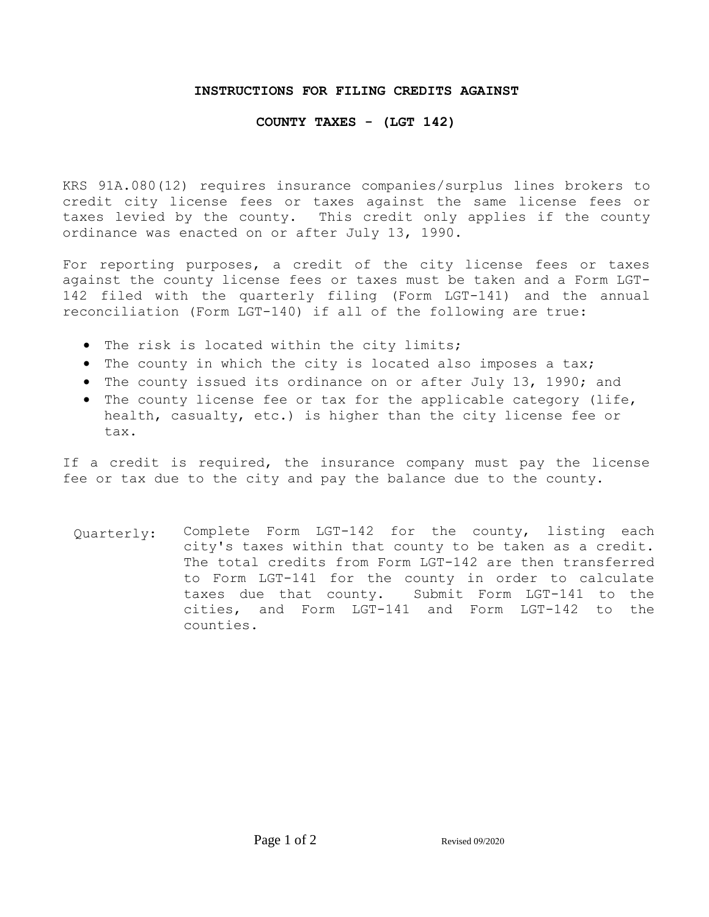## **INSTRUCTIONS FOR FILING CREDITS AGAINST**

## **COUNTY TAXES - (LGT 142)**

KRS 91A.080(12) requires insurance companies/surplus lines brokers to credit city license fees or taxes against the same license fees or taxes levied by the county. This credit only applies if the county ordinance was enacted on or after July 13, 1990.

For reporting purposes, a credit of the city license fees or taxes against the county license fees or taxes must be taken and a Form LGT-142 filed with the quarterly filing (Form LGT-141) and the annual reconciliation (Form LGT-140) if all of the following are true:

- The risk is located within the city limits;
- The county in which the city is located also imposes a tax;
- The county issued its ordinance on or after July 13, 1990; and
- The county license fee or tax for the applicable category (life, health, casualty, etc.) is higher than the city license fee or tax.

If a credit is required, the insurance company must pay the license fee or tax due to the city and pay the balance due to the county.

Quarterly: Complete Form LGT-142 for the county, listing each city's taxes within that county to be taken as a credit. The total credits from Form LGT-142 are then transferred to Form LGT-141 for the county in order to calculate taxes due that county. Submit Form LGT-141 to the cities, and Form LGT-141 and Form LGT-142 to the counties.